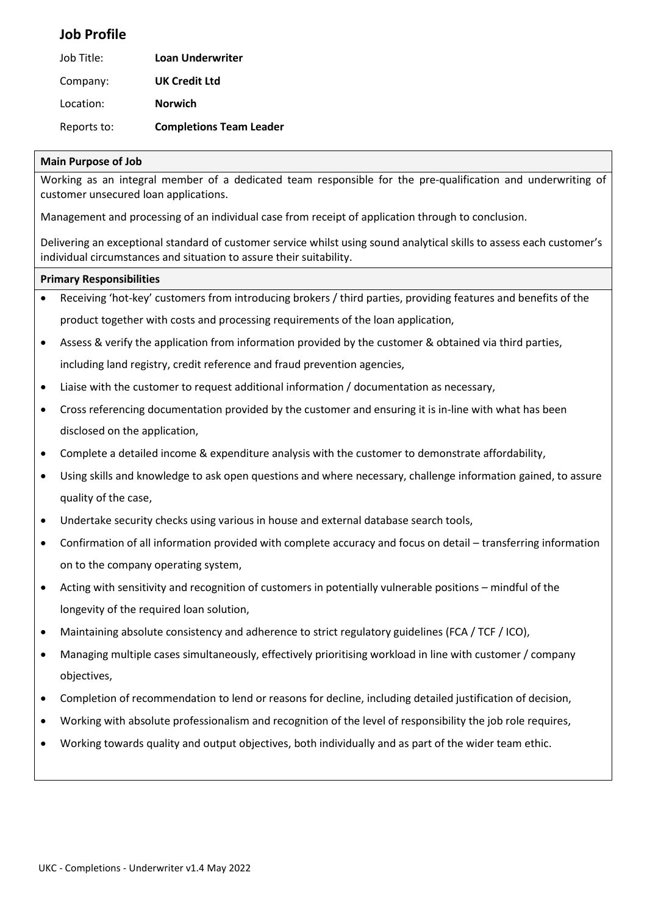### **Job Profile**

| Job Title:  | <b>Loan Underwriter</b>        |
|-------------|--------------------------------|
| Company:    | <b>UK Credit Ltd</b>           |
| Location:   | <b>Norwich</b>                 |
| Reports to: | <b>Completions Team Leader</b> |

### **Main Purpose of Job**

Working as an integral member of a dedicated team responsible for the pre-qualification and underwriting of customer unsecured loan applications.

Management and processing of an individual case from receipt of application through to conclusion.

Delivering an exceptional standard of customer service whilst using sound analytical skills to assess each customer's individual circumstances and situation to assure their suitability.

#### **Primary Responsibilities**

- Receiving 'hot-key' customers from introducing brokers / third parties, providing features and benefits of the product together with costs and processing requirements of the loan application,
- Assess & verify the application from information provided by the customer & obtained via third parties, including land registry, credit reference and fraud prevention agencies,
- Liaise with the customer to request additional information / documentation as necessary,
- Cross referencing documentation provided by the customer and ensuring it is in-line with what has been disclosed on the application,
- Complete a detailed income & expenditure analysis with the customer to demonstrate affordability,
- Using skills and knowledge to ask open questions and where necessary, challenge information gained, to assure quality of the case,
- Undertake security checks using various in house and external database search tools,
- Confirmation of all information provided with complete accuracy and focus on detail transferring information on to the company operating system,
- Acting with sensitivity and recognition of customers in potentially vulnerable positions mindful of the longevity of the required loan solution,
- Maintaining absolute consistency and adherence to strict regulatory guidelines (FCA / TCF / ICO),
- Managing multiple cases simultaneously, effectively prioritising workload in line with customer / company objectives,
- Completion of recommendation to lend or reasons for decline, including detailed justification of decision,
- Working with absolute professionalism and recognition of the level of responsibility the job role requires,
- Working towards quality and output objectives, both individually and as part of the wider team ethic.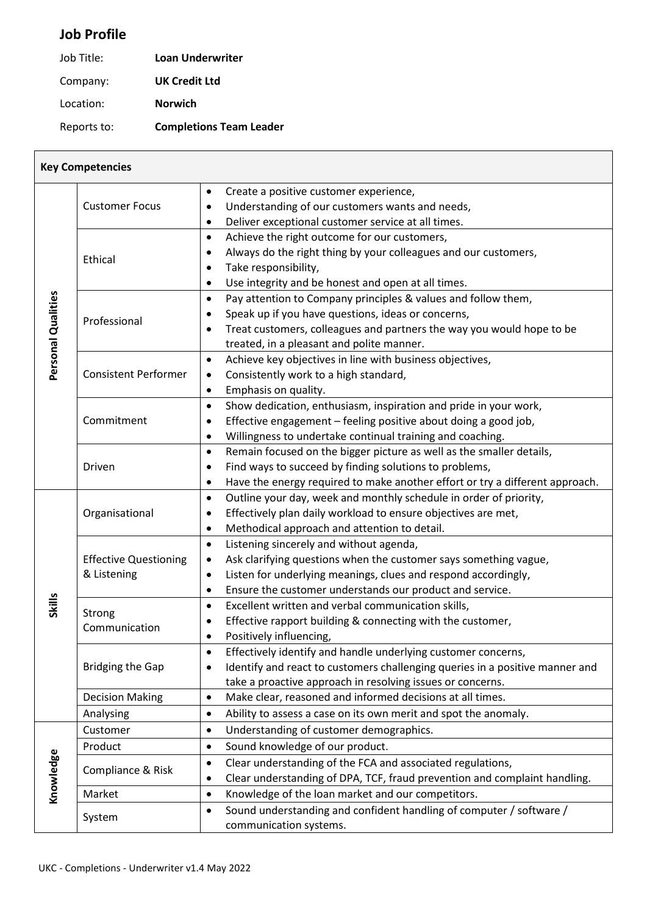# **Job Profile**

| Job Title: | <b>Loan Underwriter</b> |
|------------|-------------------------|
| Company:   | <b>UK Credit Ltd</b>    |

Location: **Norwich**

Reports to: **Completions Team Leader**

|                    | <b>Key Competencies</b>                     |                                                                                                                                                  |
|--------------------|---------------------------------------------|--------------------------------------------------------------------------------------------------------------------------------------------------|
|                    |                                             | Create a positive customer experience,<br>$\bullet$                                                                                              |
|                    | <b>Customer Focus</b>                       | Understanding of our customers wants and needs,<br>$\bullet$                                                                                     |
|                    |                                             | Deliver exceptional customer service at all times.<br>٠                                                                                          |
|                    |                                             | Achieve the right outcome for our customers,<br>$\bullet$                                                                                        |
|                    | Ethical                                     | Always do the right thing by your colleagues and our customers,                                                                                  |
|                    |                                             | Take responsibility,<br>٠                                                                                                                        |
|                    |                                             | Use integrity and be honest and open at all times.<br>$\bullet$                                                                                  |
|                    |                                             | Pay attention to Company principles & values and follow them,<br>$\bullet$                                                                       |
|                    | Professional                                | Speak up if you have questions, ideas or concerns,<br>٠                                                                                          |
|                    |                                             | Treat customers, colleagues and partners the way you would hope to be<br>$\bullet$                                                               |
| Personal Qualities |                                             | treated, in a pleasant and polite manner.                                                                                                        |
|                    | <b>Consistent Performer</b>                 | Achieve key objectives in line with business objectives,<br>$\bullet$<br>Consistently work to a high standard,<br>$\bullet$                      |
|                    |                                             | Emphasis on quality.<br>$\bullet$                                                                                                                |
|                    |                                             | Show dedication, enthusiasm, inspiration and pride in your work,<br>$\bullet$                                                                    |
|                    | Commitment                                  | Effective engagement - feeling positive about doing a good job,<br>$\bullet$                                                                     |
|                    |                                             | Willingness to undertake continual training and coaching.<br>٠                                                                                   |
|                    |                                             | Remain focused on the bigger picture as well as the smaller details,<br>$\bullet$                                                                |
|                    | Driven                                      | Find ways to succeed by finding solutions to problems,<br>$\bullet$                                                                              |
|                    |                                             | Have the energy required to make another effort or try a different approach.<br>٠                                                                |
|                    | Organisational                              | Outline your day, week and monthly schedule in order of priority,<br>$\bullet$                                                                   |
|                    |                                             | Effectively plan daily workload to ensure objectives are met,                                                                                    |
|                    |                                             | Methodical approach and attention to detail.<br>$\bullet$                                                                                        |
|                    | <b>Effective Questioning</b><br>& Listening | Listening sincerely and without agenda,<br>$\bullet$                                                                                             |
|                    |                                             | Ask clarifying questions when the customer says something vague,<br>$\bullet$                                                                    |
|                    |                                             | Listen for underlying meanings, clues and respond accordingly,<br>$\bullet$                                                                      |
|                    |                                             | Ensure the customer understands our product and service.<br>$\bullet$                                                                            |
| Skills             | Strong<br>Communication                     | Excellent written and verbal communication skills,<br>$\bullet$                                                                                  |
|                    |                                             | Effective rapport building & connecting with the customer,<br>$\bullet$                                                                          |
|                    |                                             | Positively influencing,                                                                                                                          |
|                    |                                             | Effectively identify and handle underlying customer concerns,<br>$\bullet$                                                                       |
|                    | <b>Bridging the Gap</b>                     | Identify and react to customers challenging queries in a positive manner and<br>$\bullet$                                                        |
|                    |                                             | take a proactive approach in resolving issues or concerns.                                                                                       |
|                    | <b>Decision Making</b>                      | Make clear, reasoned and informed decisions at all times.<br>$\bullet$                                                                           |
|                    | Analysing                                   | Ability to assess a case on its own merit and spot the anomaly.<br>$\bullet$                                                                     |
|                    | Customer<br>Product                         | Understanding of customer demographics.<br>$\bullet$<br>Sound knowledge of our product.                                                          |
|                    |                                             | $\bullet$                                                                                                                                        |
|                    | Compliance & Risk                           | Clear understanding of the FCA and associated regulations,<br>$\bullet$                                                                          |
| Knowledge          | Market                                      | Clear understanding of DPA, TCF, fraud prevention and complaint handling.<br>٠<br>Knowledge of the loan market and our competitors.<br>$\bullet$ |
|                    |                                             | Sound understanding and confident handling of computer / software /<br>$\bullet$                                                                 |
|                    | System                                      | communication systems.                                                                                                                           |